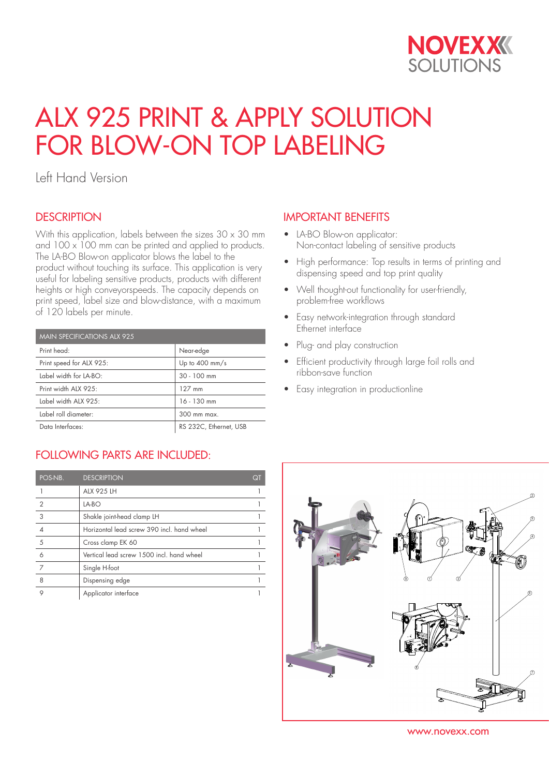

# ALX 925 PRINT & APPLY SOLUTION FOR BLOW-ON TOP LABELING

Left Hand Version

## **DESCRIPTION**

With this application, labels between the sizes  $30 \times 30$  mm and  $100 \times 100$  mm can be printed and applied to products. The LA-BO Blow-on applicator blows the label to the product without touching its surface. This application is very useful for labeling sensitive products, products with different heights or high conveyorspeeds. The capacity depends on print speed, label size and blow-distance, with a maximum of 120 labels per minute.

| <b>MAIN SPECIFICATIONS ALX 925</b> |                          |  |
|------------------------------------|--------------------------|--|
| Print head:                        | Near-edge                |  |
| Print speed for ALX 925:           | Up to $400 \text{ mm/s}$ |  |
| Label width for LA-BO:             | $30 - 100$ mm            |  |
| Print width ALX 925:               | $127$ mm                 |  |
| Label width ALX 925:               | $16 - 130$ mm            |  |
| Label roll diameter:               | 300 mm max.              |  |
| Data Interfaces:                   | RS 232C, Ethernet, USB   |  |

## FOLLOWING PARTS ARE INCLUDED:

| POS-NB.        | <b>DESCRIPTION</b>                         | QT |
|----------------|--------------------------------------------|----|
|                | <b>ALX 925 LH</b>                          |    |
| $\mathfrak{D}$ | $LA-BO$                                    |    |
| 3              | Shakle joint-head clamp LH                 |    |
|                | Horizontal lead screw 390 incl. hand wheel |    |
| 5              | Cross clamp EK 60                          |    |
| 6              | Vertical lead screw 1500 incl. hand wheel  |    |
| 7              | Single H-foot                              |    |
| 8              | Dispensing edge                            |    |
|                | Applicator interface                       |    |

## IMPORTANT BENEFITS

- LA-BO Blow-on applicator: Non-contact labeling of sensitive products
- High performance: Top results in terms of printing and dispensing speed and top print quality
- Well thought-out functionality for user-friendly, problem-free workflows
- Easy network-integration through standard Ethernet interface
- Plug- and play construction
- Efficient productivity through large foil rolls and ribbon-save function
- Easy integration in productionline



www.novexx.com